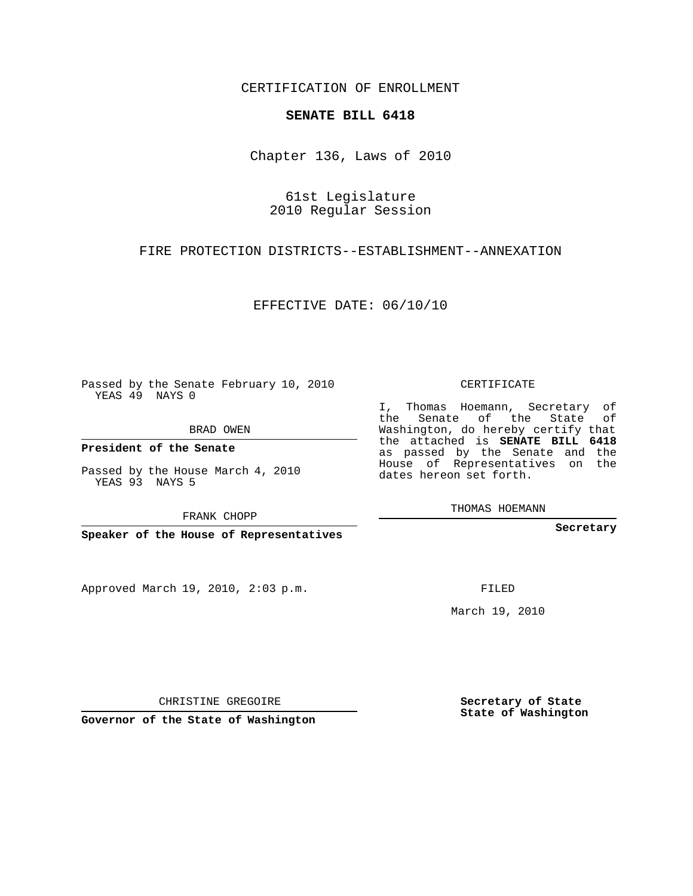CERTIFICATION OF ENROLLMENT

## **SENATE BILL 6418**

Chapter 136, Laws of 2010

61st Legislature 2010 Regular Session

FIRE PROTECTION DISTRICTS--ESTABLISHMENT--ANNEXATION

EFFECTIVE DATE: 06/10/10

Passed by the Senate February 10, 2010 YEAS 49 NAYS 0

BRAD OWEN

**President of the Senate**

Passed by the House March 4, 2010 YEAS 93 NAYS 5

FRANK CHOPP

**Speaker of the House of Representatives**

Approved March 19, 2010, 2:03 p.m.

CERTIFICATE

I, Thomas Hoemann, Secretary of the Senate of the State of Washington, do hereby certify that the attached is **SENATE BILL 6418** as passed by the Senate and the House of Representatives on the dates hereon set forth.

THOMAS HOEMANN

**Secretary**

FILED

March 19, 2010

**Secretary of State State of Washington**

CHRISTINE GREGOIRE

**Governor of the State of Washington**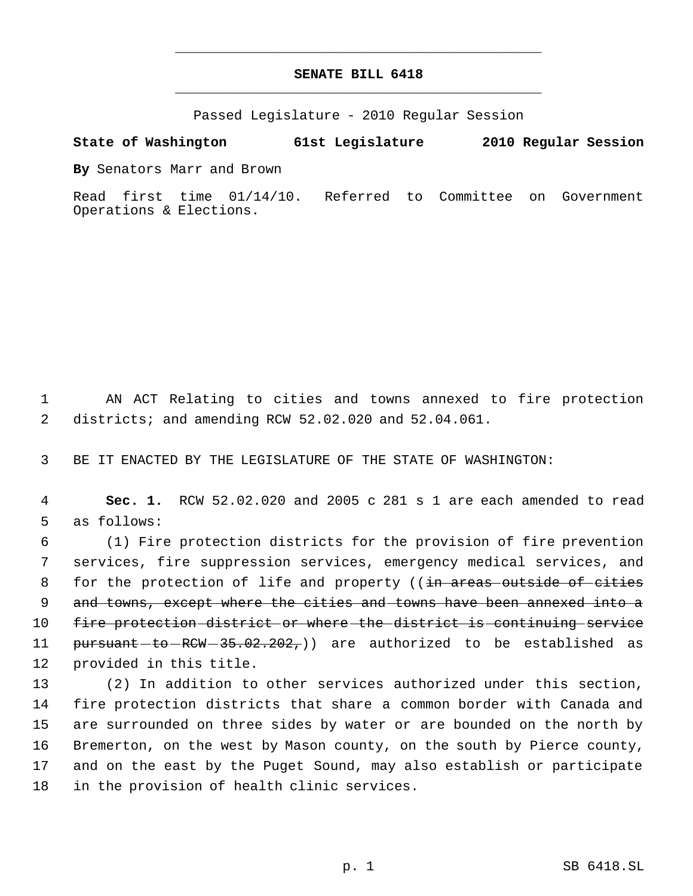## **SENATE BILL 6418** \_\_\_\_\_\_\_\_\_\_\_\_\_\_\_\_\_\_\_\_\_\_\_\_\_\_\_\_\_\_\_\_\_\_\_\_\_\_\_\_\_\_\_\_\_

\_\_\_\_\_\_\_\_\_\_\_\_\_\_\_\_\_\_\_\_\_\_\_\_\_\_\_\_\_\_\_\_\_\_\_\_\_\_\_\_\_\_\_\_\_

Passed Legislature - 2010 Regular Session

## **State of Washington 61st Legislature 2010 Regular Session**

**By** Senators Marr and Brown

Read first time 01/14/10. Referred to Committee on Government Operations & Elections.

 1 AN ACT Relating to cities and towns annexed to fire protection 2 districts; and amending RCW 52.02.020 and 52.04.061.

3 BE IT ENACTED BY THE LEGISLATURE OF THE STATE OF WASHINGTON:

 4 **Sec. 1.** RCW 52.02.020 and 2005 c 281 s 1 are each amended to read 5 as follows:

 6 (1) Fire protection districts for the provision of fire prevention 7 services, fire suppression services, emergency medical services, and 8 for the protection of life and property ((in areas outside of cities 9 and towns, except where the cities and towns have been annexed into a 10 fire protection-district or where the district is continuing service 11 <del>pursuant to RCW 35.02.202,</del>)) are authorized to be established as 12 provided in this title.

 (2) In addition to other services authorized under this section, fire protection districts that share a common border with Canada and are surrounded on three sides by water or are bounded on the north by Bremerton, on the west by Mason county, on the south by Pierce county, and on the east by the Puget Sound, may also establish or participate in the provision of health clinic services.